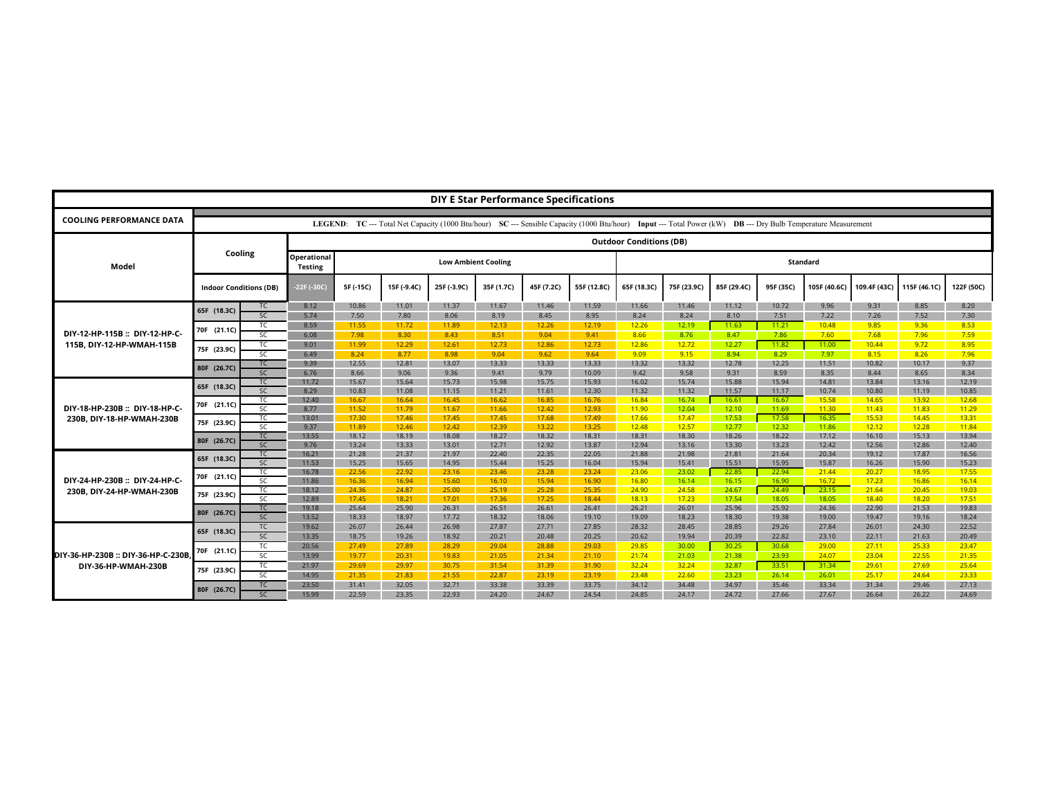| <b>DIY E Star Performance Specifications</b>                |                                           |                 |                                |                            |                                                                                                                                                               |                |                |                |                |                |                |                |                |                |                |                |                |
|-------------------------------------------------------------|-------------------------------------------|-----------------|--------------------------------|----------------------------|---------------------------------------------------------------------------------------------------------------------------------------------------------------|----------------|----------------|----------------|----------------|----------------|----------------|----------------|----------------|----------------|----------------|----------------|----------------|
|                                                             |                                           |                 |                                |                            |                                                                                                                                                               |                |                |                |                |                |                |                |                |                |                |                |                |
| <b>COOLING PERFORMANCE DATA</b>                             |                                           |                 |                                |                            | LEGEND: TC --- Total Net Capacity (1000 Btu/hour) SC --- Sensible Capacity (1000 Btu/hour) Input --- Total Power (kW) DB --- Dry Bulb Temperature Measurement |                |                |                |                |                |                |                |                |                |                |                |                |
|                                                             | Cooling                                   |                 | <b>Outdoor Conditions (DB)</b> |                            |                                                                                                                                                               |                |                |                |                |                |                |                |                |                |                |                |                |
| Model                                                       |                                           |                 | Operational<br><b>Testing</b>  | <b>Low Ambient Cooling</b> |                                                                                                                                                               |                |                |                |                |                | Standard       |                |                |                |                |                |                |
|                                                             | <b>Indoor Conditions (DB)</b>             |                 | $-22F(-30C)$                   | 5F (-15C)                  | 15F (-9.4C)                                                                                                                                                   | 25F (-3.9C)    | 35F (1.7C)     | 45F (7.2C)     | 55F (12.8C)    | 65F (18.3C)    | 75F (23.9C)    | 85F (29.4C)    | 95F (35C)      | 105F (40.6C)   | 109.4F (43C)   | 115F (46.1C)   | 122F (50C)     |
|                                                             |                                           | TC              | 8.12                           | 10.86                      | 11.01                                                                                                                                                         | 11.37          | 11.67          | 11.46          | 11.59          | 11.66          | 11.46          | 11.12          | 10.72          | 9.96           | 9.31           | 8.85           | 8.20           |
| DIY-12-HP-115B: DIY-12-HP-C-<br>115B. DIY-12-HP-WMAH-115B   | 65F (18.3C)                               | <b>SC</b>       | 5.74                           | 7.50                       | 7.80                                                                                                                                                          | 8.06           | 8.19           | 8.45           | 8.95           | 8.24           | 8.24           | 8.10           | 7.51           | 7.22           | 7.26           | 7.52           | 7.30           |
|                                                             | 70F (21.1C)                               | TC              | 8.59                           | 11.55                      | 11.72                                                                                                                                                         | 11.89          | 12.13          | 12.26          | 12.19          | 12.26          | 12.19          | 11.63          | 11.21          | 10.48          | 9.85           | 9.36           | 8.53           |
|                                                             |                                           | SC              | 6.08                           | 7.98                       | 8.30                                                                                                                                                          | 8.43           | 8.51           | 9.04           | 9.41           | 8.66           | 8.76           | 8.47           | 7.86           | 7.60           | 7.68           | 7.96           | 7.59           |
|                                                             |                                           | TC              | 9.01                           | 11.99                      | 12.29                                                                                                                                                         | 12.61          | 12.73          | 12.86          | 12.73          | 12.86          | 12.72          | 12.27          | 11.82          | 11.00          | 10.44          | 9.72           | 8.95           |
|                                                             | 75F (23.9C)                               | <b>SC</b>       | 6.49                           | 8.24                       | 8.77                                                                                                                                                          | 8.98           | 9.04           | 9.62           | 9.64           | 9.09           | 9.15           | 8.94           | 8.29           | 7.97           | 8.15           | 8.26           | 7.96           |
|                                                             | 80F (26.7C)                               | <b>TC</b>       | 9.39                           | 12.55                      | 12.81                                                                                                                                                         | 13.07          | 13.33          | 13.33          | 13.33          | 13.32          | 13.32          | 12.78          | 12.25          | 11.51          | 10.82          | 10.17          | 9.37           |
|                                                             |                                           | SC              | 6.76                           | 8.66                       | 9.06                                                                                                                                                          | 9.36           | 9.41           | 9.79           | 10.09          | 9.42           | 9.58           | 9.31           | 8.59           | 8.35           | 8.44           | 8.65           | 8.34           |
| DIY-18-HP-230B: DIY-18-HP-C-<br>230B, DIY-18-HP-WMAH-230B   | 65F (18.3C)                               | <b>TC</b>       | 11.72                          | 15.67                      | 15.64                                                                                                                                                         | 15.73          | 15.98          | 15.75          | 15.93          | 16.02          | 15.74          | 15.88          | 15.94          | 14.81          | 13.84          | 13.16          | 12.19          |
|                                                             |                                           | SC              | 8.29                           | 10.83                      | 11.08                                                                                                                                                         | 11.15          | 11.21          | 11.61          | 12.30          | 11.32          | 11.32          | 11.57          | 11.17          | 10.74          | 10.80          | 11.19          | 10.85          |
|                                                             | 70F (21.1C)                               | TC              | 12.40                          | 16.67                      | 16.64                                                                                                                                                         | 16.45          | 16.62          | 16.85          | 16.76          | 16.84          | 16.74          | 16.61          | 16.67          | 15.58          | 14.65          | 13.92          | 12.68          |
|                                                             |                                           | <b>SC</b>       | 8.77                           | 11.52                      | 11.79                                                                                                                                                         | 11.67          | 11.66          | 12.42          | 12.93          | 11.90          | 12.04          | 12.10          | 11.69          | 11.30          | 11.43          | 11.83          | 11.29          |
|                                                             | 75F (23.9C)                               | TC              | 13.01                          | 17.30                      | 17.46                                                                                                                                                         | 17.45          | 17.45          | 17.68          | 17.49          | 17.66          | 17.47          | 17.53          | 17.58          | 16.35          | 15.53          | 14.45          | 13.31          |
|                                                             |                                           | SC              | 9.37                           | 11.89                      | 12.46                                                                                                                                                         | 12.42          | 12.39          | 13.22          | 13.25          | 12.48          | 12.57          | 12.77          | 12.32          | 11.86          | 12.12          | 12.28          | 11.84          |
|                                                             | 80F (26.7C)                               | <b>TC</b>       | 13.55                          | 18.12                      | 18.19                                                                                                                                                         | 18.08          | 18.27          | 18.32          | 18.31          | 18.31          | 18.30          | 18.26          | 18.22          | 17.12          | 16.10          | 15.13          | 13.94          |
|                                                             |                                           | SC              | 9.76                           | 13.24                      | 13.33                                                                                                                                                         | 13.01          | 12.71          | 12.92          | 13.87          | 12.94          | 13.16          | 13.30          | 13.23          | 12.42          | 12.56          | 12.86          | 12.40          |
| DIY-24-HP-230B :: DIY-24-HP-C-<br>230B, DIY-24-HP-WMAH-230B | 65F (18.3C)<br>70F (21.1C)<br>75F (23.9C) | <b>TC</b>       | 16.21                          | 21.28                      | 21.37                                                                                                                                                         | 21.97          | 22.40          | 22.35          | 22.05          | 21.88          | 21.98          | 21.81          | 21.64          | 20.34          | 19.12          | 17.87          | 16.56          |
|                                                             |                                           | SC              | 11.53                          | 15.25                      | 15.65                                                                                                                                                         | 14.95          | 15.44          | 15.25          | 16.04          | 15.94          | 15.41          | 15.51          | 15.95          | 15.87          | 16.26          | 15.90          | 15.23          |
|                                                             |                                           | TC.             | 16.78                          | 22.56                      | 22.92                                                                                                                                                         | 23.16          | 23.46          | 23.28          | 23.24          | 23.06          | 23.02          | 22.85          | 22.94          | 21.44          | 20.27          | 18.95          | 17.55          |
|                                                             |                                           | SC              | 11.86                          | 16.36                      | 16.94                                                                                                                                                         | 15.60          | 16.10          | 15.94          | 16.90          | 16.80          | 16.14          | 16.15          | 16.90          | 16.72          | 17.23          | 16.86          | 16.14          |
|                                                             |                                           | TC<br><b>SC</b> | 18.12<br>12.89                 | 24.36<br>17.45             | 24.87                                                                                                                                                         | 25.00<br>17.01 | 25.19          | 25.28<br>17.25 | 25.35          | 24.90          | 24.58          | 24.67          | 24.49          | 23.15          | 21.64<br>18.40 | 20.45<br>18.20 | 19.03          |
|                                                             |                                           | <b>TC</b>       | 19.18                          | 25.64                      | 18.21<br>25.90                                                                                                                                                | 26.31          | 17.36<br>26.51 | 26.61          | 18.44<br>26.41 | 18.13<br>26.21 | 17.23<br>26.01 | 17.54<br>25.96 | 18.05<br>25.92 | 18.05<br>24.36 | 22.90          | 21.53          | 17.51<br>19.83 |
|                                                             | 80F (26.7C)                               | SC              | 13.52                          |                            |                                                                                                                                                               |                |                | 18.06          | 19.10          |                |                |                |                |                |                |                |                |
|                                                             |                                           |                 |                                | 18.33                      | 18.97                                                                                                                                                         | 17.72          | 18.32          |                |                | 19.09          | 18.23          | 18.30          | 19.38          | 19.00          | 19.47          | 19.16          | 18.24          |
| DIY-36-HP-230B :: DIY-36-HP-C-230B<br>DIY-36-HP-WMAH-230B   | 65F (18.3C)                               | <b>TC</b>       | 19.62                          | 26.07                      | 26.44                                                                                                                                                         | 26.98          | 27.87          | 27.71          | 27.85          | 28.32          | 28.45          | 28.85          | 29.26          | 27.84          | 26.01          | 24.30          | 22.52          |
|                                                             |                                           | SC              | 13.35                          | 18.75                      | 19.26                                                                                                                                                         | 18.92          | 20.21          | 20.48          | 20.25          | 20.62          | 19.94          | 20.39          | 22.82          | 23.10          | 22.11          | 21.63          | 20.49          |
|                                                             | 70F (21.1C)                               | TC              | 20.56                          | 27.49                      | 27.89                                                                                                                                                         | 28.29          | 29.04          | 28.88          | 29.03          | 29.85          | 30.00          | 30.25          | 30.68          | 29.00          | 27.11          | 25.33          | 23.47          |
|                                                             |                                           | SC              | 13.99                          | 19.77                      | 20.31                                                                                                                                                         | 19.83          | 21.05          | 21.34          | 21.10          | 21.74          | 21.03          | 21.38          | 23.93          | 24.07          | 23.04          | 22.55          | 21.35          |
|                                                             | 75F (23.9C)                               | TC              | 21.97                          | 29.69                      | 29.97                                                                                                                                                         | 30.75          | 31.54          | 31.39          | 31.90          | 32.24          | 32.24          | 32.87          | 33.51          | 31.34          | 29.61          | 27.69          | 25.64          |
|                                                             |                                           | <b>SC</b>       | 14.95                          | 21.35                      | 21.83                                                                                                                                                         | 21.55          | 22.87          | 23.19          | 23.19          | 23.48          | 22.60          | 23.23          | 26.14          | 26.01          | 25.17          | 24.64          | 23.33          |
|                                                             | 80F (26.7C)                               | <b>TC</b>       | 23.50                          | 31.41                      | 32.05                                                                                                                                                         | 32.71          | 33.38          | 33.39          | 33.75          | 34.12          | 34.48          | 34.97          | 35.46          | 33.34          | 31.34          | 29.46          | 27.13          |
|                                                             |                                           | SC              | 15.99                          | 22.59                      | 23.35                                                                                                                                                         | 22.93          | 24.20          | 24.67          | 24.54          | 24.85          | 24.17          | 24.72          | 27.66          | 27.67          | 26.64          | 26.22          | 24.69          |